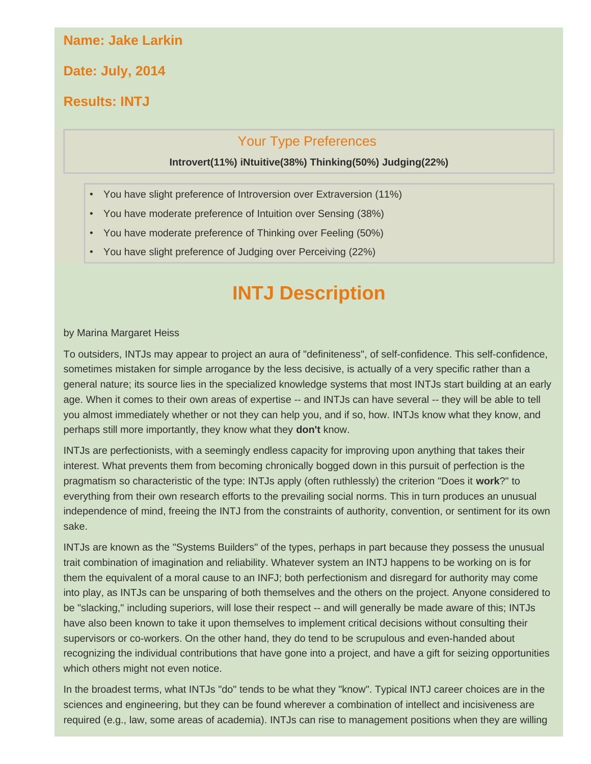#### **Name: Jake Larkin**

**Date: July, 2014**

### **Results: INTJ**

#### Your Type Preferences

#### **Introvert(11%) iNtuitive(38%) Thinking(50%) Judging(22%)**

- You have slight preference of Introversion over Extraversion (11%)
- You have moderate preference of Intuition over Sensing (38%)
- You have moderate preference of Thinking over Feeling (50%)
- You have slight preference of Judging over Perceiving (22%)

# **INTJ Description**

#### by Marina Margaret Heiss

To outsiders, INTJs may appear to project an aura of "definiteness", of self-confidence. This self-confidence, sometimes mistaken for simple arrogance by the less decisive, is actually of a very specific rather than a general nature; its source lies in the specialized knowledge systems that most INTJs start building at an early age. When it comes to their own areas of expertise -- and INTJs can have several -- they will be able to tell you almost immediately whether or not they can help you, and if so, how. INTJs know what they know, and perhaps still more importantly, they know what they **don't** know.

INTJs are perfectionists, with a seemingly endless capacity for improving upon anything that takes their interest. What prevents them from becoming chronically bogged down in this pursuit of perfection is the pragmatism so characteristic of the type: INTJs apply (often ruthlessly) the criterion "Does it **work**?" to everything from their own research efforts to the prevailing social norms. This in turn produces an unusual independence of mind, freeing the INTJ from the constraints of authority, convention, or sentiment for its own sake.

INTJs are known as the "Systems Builders" of the types, perhaps in part because they possess the unusual trait combination of imagination and reliability. Whatever system an INTJ happens to be working on is for them the equivalent of a moral cause to an INFJ; both perfectionism and disregard for authority may come into play, as INTJs can be unsparing of both themselves and the others on the project. Anyone considered to be "slacking," including superiors, will lose their respect -- and will generally be made aware of this; INTJs have also been known to take it upon themselves to implement critical decisions without consulting their supervisors or co-workers. On the other hand, they do tend to be scrupulous and even-handed about recognizing the individual contributions that have gone into a project, and have a gift for seizing opportunities which others might not even notice.

In the broadest terms, what INTJs "do" tends to be what they "know". Typical INTJ career choices are in the sciences and engineering, but they can be found wherever a combination of intellect and incisiveness are required (e.g., law, some areas of academia). INTJs can rise to management positions when they are willing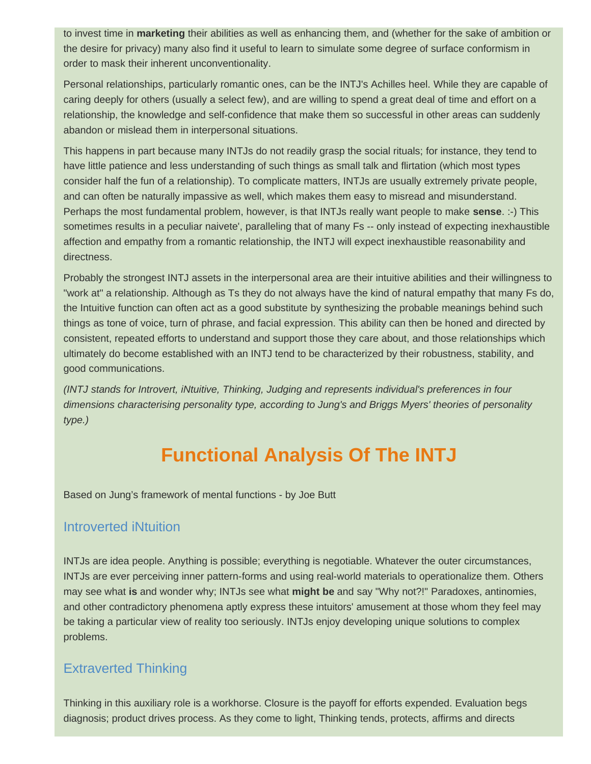to invest time in **marketing** their abilities as well as enhancing them, and (whether for the sake of ambition or the desire for privacy) many also find it useful to learn to simulate some degree of surface conformism in order to mask their inherent unconventionality.

Personal relationships, particularly romantic ones, can be the INTJ's Achilles heel. While they are capable of caring deeply for others (usually a select few), and are willing to spend a great deal of time and effort on a relationship, the knowledge and self-confidence that make them so successful in other areas can suddenly abandon or mislead them in interpersonal situations.

This happens in part because many INTJs do not readily grasp the social rituals; for instance, they tend to have little patience and less understanding of such things as small talk and flirtation (which most types consider half the fun of a relationship). To complicate matters, INTJs are usually extremely private people, and can often be naturally impassive as well, which makes them easy to misread and misunderstand. Perhaps the most fundamental problem, however, is that INTJs really want people to make **sense**. :-) This sometimes results in a peculiar naivete', paralleling that of many Fs -- only instead of expecting inexhaustible affection and empathy from a romantic relationship, the INTJ will expect inexhaustible reasonability and directness.

Probably the strongest INTJ assets in the interpersonal area are their intuitive abilities and their willingness to "work at" a relationship. Although as Ts they do not always have the kind of natural empathy that many Fs do, the Intuitive function can often act as a good substitute by synthesizing the probable meanings behind such things as tone of voice, turn of phrase, and facial expression. This ability can then be honed and directed by consistent, repeated efforts to understand and support those they care about, and those relationships which ultimately do become established with an INTJ tend to be characterized by their robustness, stability, and good communications.

*(INTJ stands for Introvert, iNtuitive, Thinking, Judging and represents individual's preferences in four dimensions characterising personality type, according to Jung's and Briggs Myers' theories of personality type.)*

# **Functional Analysis Of The INTJ**

Based on Jung's framework of mental functions - by Joe Butt

#### Introverted iNtuition

INTJs are idea people. Anything is possible; everything is negotiable. Whatever the outer circumstances, INTJs are ever perceiving inner pattern-forms and using real-world materials to operationalize them. Others may see what **is** and wonder why; INTJs see what **might be** and say "Why not?!" Paradoxes, antinomies, and other contradictory phenomena aptly express these intuitors' amusement at those whom they feel may be taking a particular view of reality too seriously. INTJs enjoy developing unique solutions to complex problems.

## Extraverted Thinking

Thinking in this auxiliary role is a workhorse. Closure is the payoff for efforts expended. Evaluation begs diagnosis; product drives process. As they come to light, Thinking tends, protects, affirms and directs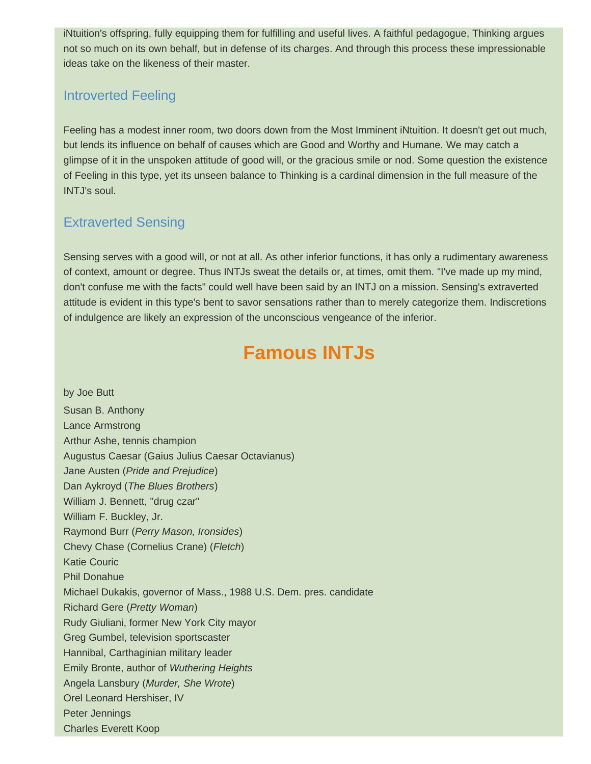iNtuition's offspring, fully equipping them for fulfilling and useful lives. A faithful pedagogue, Thinking argues not so much on its own behalf, but in defense of its charges. And through this process these impressionable ideas take on the likeness of their master.

### Introverted Feeling

Feeling has a modest inner room, two doors down from the Most Imminent iNtuition. It doesn't get out much, but lends its influence on behalf of causes which are Good and Worthy and Humane. We may catch a glimpse of it in the unspoken attitude of good will, or the gracious smile or nod. Some question the existence of Feeling in this type, yet its unseen balance to Thinking is a cardinal dimension in the full measure of the INTJ's soul.

## Extraverted Sensing

Sensing serves with a good will, or not at all. As other inferior functions, it has only a rudimentary awareness of context, amount or degree. Thus INTJs sweat the details or, at times, omit them. "I've made up my mind, don't confuse me with the facts" could well have been said by an INTJ on a mission. Sensing's extraverted attitude is evident in this type's bent to savor sensations rather than to merely categorize them. Indiscretions of indulgence are likely an expression of the unconscious vengeance of the inferior.

# **Famous INTJs**

by Joe Butt Susan B. Anthony Lance Armstrong Arthur Ashe, tennis champion Augustus Caesar (Gaius Julius Caesar Octavianus) Jane Austen (*Pride and Prejudice*) Dan Aykroyd (*The Blues Brothers*) William J. Bennett, "drug czar" William F. Buckley, Jr. Raymond Burr (*Perry Mason, Ironsides*) Chevy Chase (Cornelius Crane) (*Fletch*) Katie Couric Phil Donahue Michael Dukakis, governor of Mass., 1988 U.S. Dem. pres. candidate Richard Gere (*Pretty Woman*) Rudy Giuliani, former New York City mayor Greg Gumbel, television sportscaster Hannibal, Carthaginian military leader Emily Bronte, author of *Wuthering Heights* Angela Lansbury (*Murder, She Wrote*) Orel Leonard Hershiser, IV Peter Jennings Charles Everett Koop